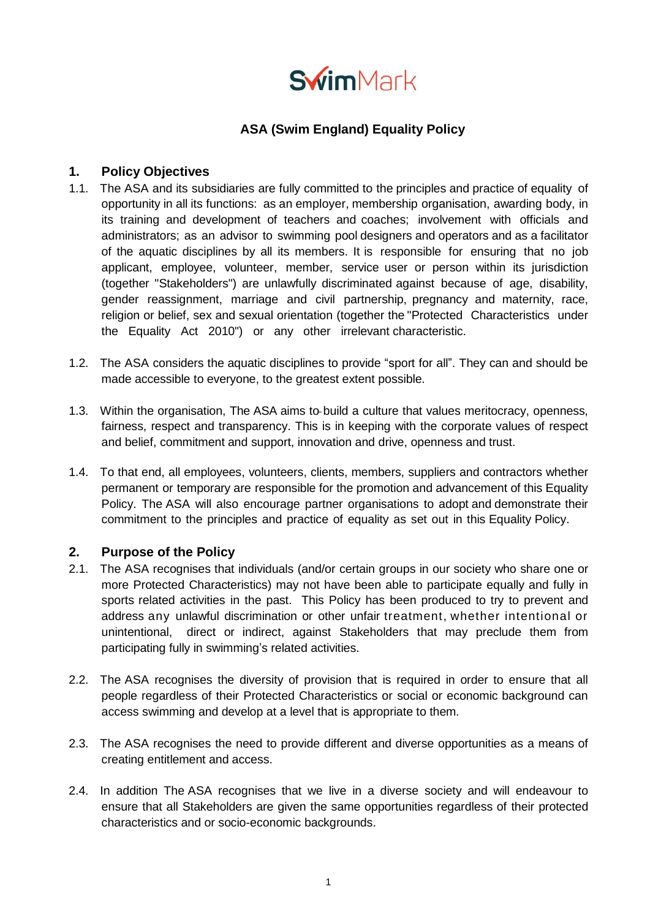

# **ASA (Swim England) Equality Policy**

## **1. Policy Objectives**

- 1.1. The ASA and its subsidiaries are fully committed to the principles and practice of equality of opportunity in all its functions: as an employer, membership organisation, awarding body, in its training and development of teachers and coaches; involvement with officials and administrators; as an advisor to swimming pool designers and operators and as a facilitator of the aquatic disciplines by all its members. It is responsible for ensuring that no job applicant, employee, volunteer, member, service user or person within its jurisdiction (together "Stakeholders") are unlawfully discriminated against because of age, disability, gender reassignment, marriage and civil partnership, pregnancy and maternity, race, religion or belief, sex and sexual orientation (together the "Protected Characteristics under the Equality Act 2010") or any other irrelevant characteristic.
- 1.2. The ASA considers the aquatic disciplines to provide "sport for all". They can and should be made accessible to everyone, to the greatest extent possible.
- 1.3. Within the organisation, The ASA aims to build a culture that values meritocracy, openness, fairness, respect and transparency. This is in keeping with the corporate values of respect and belief, commitment and support, innovation and drive, openness and trust.
- 1.4. To that end, all employees, volunteers, clients, members, suppliers and contractors whether permanent or temporary are responsible for the promotion and advancement of this Equality Policy. The ASA will also encourage partner organisations to adopt and demonstrate their commitment to the principles and practice of equality as set out in this Equality Policy.

### **2. Purpose of the Policy**

- 2.1. The ASA recognises that individuals (and/or certain groups in our society who share one or more Protected Characteristics) may not have been able to participate equally and fully in sports related activities in the past. This Policy has been produced to try to prevent and address any unlawful discrimination or other unfair treatment, whether intentional or unintentional, direct or indirect, against Stakeholders that may preclude them from participating fully in swimming's related activities.
- 2.2. The ASA recognises the diversity of provision that is required in order to ensure that all people regardless of their Protected Characteristics or social or economic background can access swimming and develop at a level that is appropriate to them.
- 2.3. The ASA recognises the need to provide different and diverse opportunities as a means of creating entitlement and access.
- 2.4. In addition The ASA recognises that we live in a diverse society and will endeavour to ensure that all Stakeholders are given the same opportunities regardless of their protected characteristics and or socio-economic backgrounds.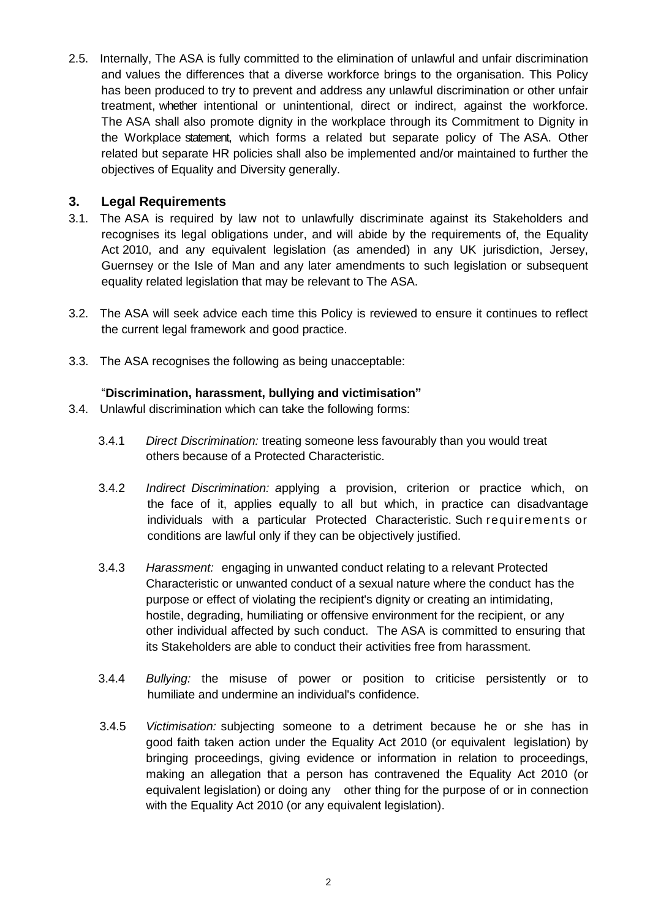2.5. Internally, The ASA is fully committed to the elimination of unlawful and unfair discrimination and values the differences that a diverse workforce brings to the organisation. This Policy has been produced to try to prevent and address any unlawful discrimination or other unfair treatment, whether intentional or unintentional, direct or indirect, against the workforce. The ASA shall also promote dignity in the workplace through its Commitment to Dignity in the Workplace statement, which forms a related but separate policy of The ASA. Other related but separate HR policies shall also be implemented and/or maintained to further the objectives of Equality and Diversity generally.

## **3. Legal Requirements**

- 3.1. The ASA is required by law not to unlawfully discriminate against its Stakeholders and recognises its legal obligations under, and will abide by the requirements of, the Equality Act 2010, and any equivalent legislation (as amended) in any UK jurisdiction, Jersey, Guernsey or the Isle of Man and any later amendments to such legislation or subsequent equality related legislation that may be relevant to The ASA.
- 3.2. The ASA will seek advice each time this Policy is reviewed to ensure it continues to reflect the current legal framework and good practice.
- 3.3. The ASA recognises the following as being unacceptable:

### "**Discrimination, harassment, bullying and victimisation"**

- 3.4. Unlawful discrimination which can take the following forms:
	- 3.4.1 *Direct Discrimination:* treating someone less favourably than you would treat others because of a Protected Characteristic.
	- 3.4.2 *Indirect Discrimination: a*pplying a provision, criterion or practice which, on the face of it, applies equally to all but which, in practice can disadvantage individuals with a particular Protected Characteristic. Such requirements or conditions are lawful only if they can be objectively justified.
	- 3.4.3 *Harassment:* engaging in unwanted conduct relating to a relevant Protected Characteristic or unwanted conduct of a sexual nature where the conduct has the purpose or effect of violating the recipient's dignity or creating an intimidating, hostile, degrading, humiliating or offensive environment for the recipient, or any other individual affected by such conduct. The ASA is committed to ensuring that its Stakeholders are able to conduct their activities free from harassment.
	- 3.4.4 *Bullying:* the misuse of power or position to criticise persistently or to humiliate and undermine an individual's confidence.
	- 3.4.5 *Victimisation:* subjecting someone to a detriment because he or she has in good faith taken action under the Equality Act 2010 (or equivalent legislation) by bringing proceedings, giving evidence or information in relation to proceedings, making an allegation that a person has contravened the Equality Act 2010 (or equivalent legislation) or doing any other thing for the purpose of or in connection with the Equality Act 2010 (or any equivalent legislation).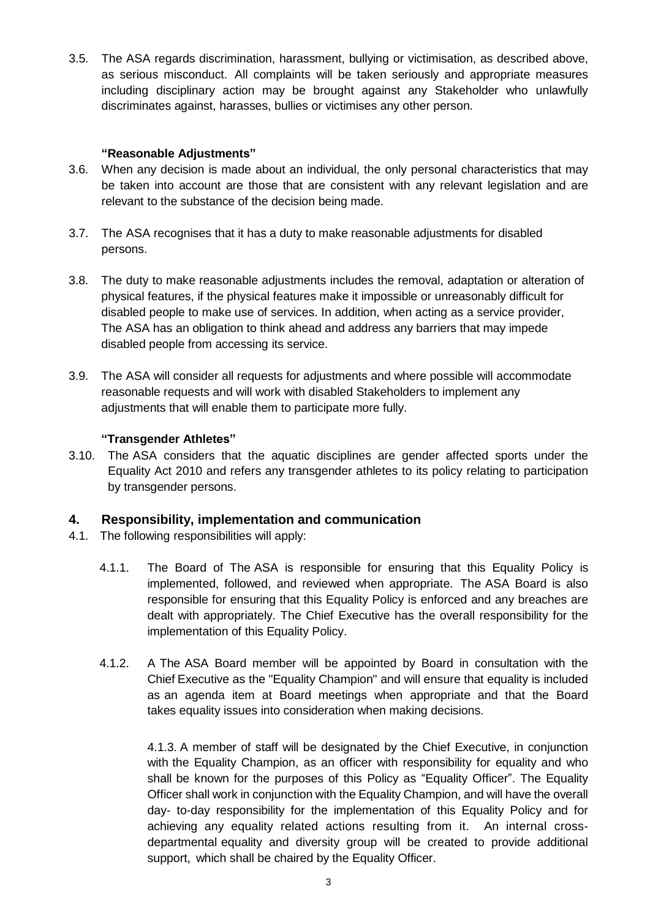3.5. The ASA regards discrimination, harassment, bullying or victimisation, as described above, as serious misconduct. All complaints will be taken seriously and appropriate measures including disciplinary action may be brought against any Stakeholder who unlawfully discriminates against, harasses, bullies or victimises any other person.

### **"Reasonable Adjustments"**

- 3.6. When any decision is made about an individual, the only personal characteristics that may be taken into account are those that are consistent with any relevant legislation and are relevant to the substance of the decision being made.
- 3.7. The ASA recognises that it has a duty to make reasonable adjustments for disabled persons.
- 3.8. The duty to make reasonable adjustments includes the removal, adaptation or alteration of physical features, if the physical features make it impossible or unreasonably difficult for disabled people to make use of services. In addition, when acting as a service provider, The ASA has an obligation to think ahead and address any barriers that may impede disabled people from accessing its service.
- 3.9. The ASA will consider all requests for adjustments and where possible will accommodate reasonable requests and will work with disabled Stakeholders to implement any adjustments that will enable them to participate more fully.

### **"Transgender Athletes"**

3.10. The ASA considers that the aquatic disciplines are gender affected sports under the Equality Act 2010 and refers any transgender athletes to its policy relating to participation by transgender persons.

## **4. Responsibility, implementation and communication**

- 4.1. The following responsibilities will apply:
	- 4.1.1. The Board of The ASA is responsible for ensuring that this Equality Policy is implemented, followed, and reviewed when appropriate. The ASA Board is also responsible for ensuring that this Equality Policy is enforced and any breaches are dealt with appropriately. The Chief Executive has the overall responsibility for the implementation of this Equality Policy.
	- 4.1.2. A The ASA Board member will be appointed by Board in consultation with the Chief Executive as the "Equality Champion" and will ensure that equality is included as an agenda item at Board meetings when appropriate and that the Board takes equality issues into consideration when making decisions.

4.1.3. A member of staff will be designated by the Chief Executive, in conjunction with the Equality Champion, as an officer with responsibility for equality and who shall be known for the purposes of this Policy as "Equality Officer". The Equality Officer shall work in conjunction with the Equality Champion, and will have the overall day- to-day responsibility for the implementation of this Equality Policy and for achieving any equality related actions resulting from it. An internal crossdepartmental equality and diversity group will be created to provide additional support, which shall be chaired by the Equality Officer.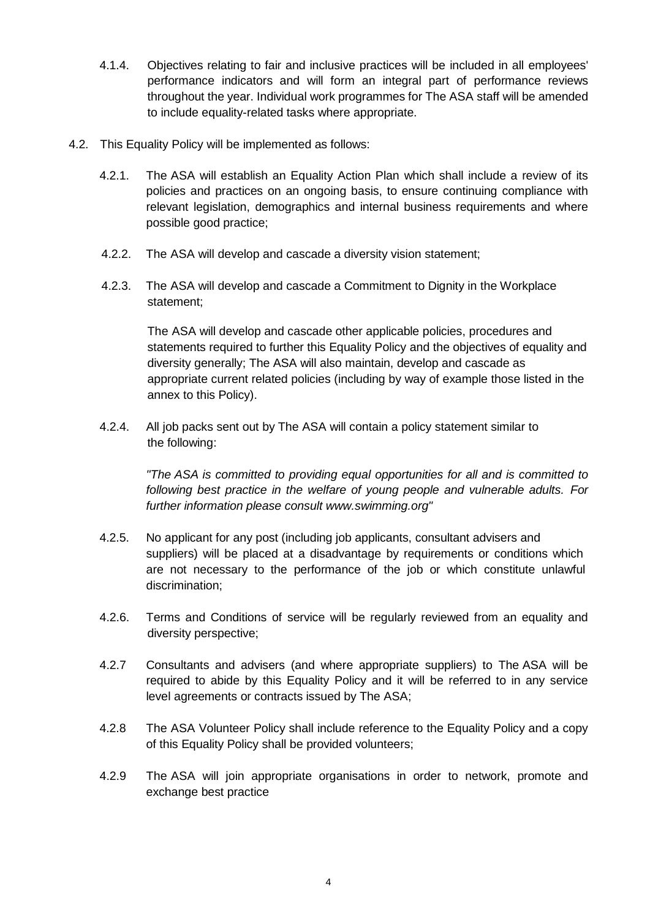- 4.1.4. Objectives relating to fair and inclusive practices will be included in all employees' performance indicators and will form an integral part of performance reviews throughout the year. Individual work programmes for The ASA staff will be amended to include equality-related tasks where appropriate.
- 4.2. This Equality Policy will be implemented as follows:
	- 4.2.1. The ASA will establish an Equality Action Plan which shall include a review of its policies and practices on an ongoing basis, to ensure continuing compliance with relevant legislation, demographics and internal business requirements and where possible good practice;
	- 4.2.2. The ASA will develop and cascade a diversity vision statement;
	- 4.2.3. The ASA will develop and cascade a Commitment to Dignity in the Workplace statement;

The ASA will develop and cascade other applicable policies, procedures and statements required to further this Equality Policy and the objectives of equality and diversity generally; The ASA will also maintain, develop and cascade as appropriate current related policies (including by way of example those listed in the annex to this Policy).

4.2.4. All job packs sent out by The ASA will contain a policy statement similar to the following:

> *"The ASA is committed to providing equal opportunities for all and is committed to following best practice in the welfare of young people and vulnerable adults. For further information please consult [www.swimming.org"](http://www.swimming.org/)*

- 4.2.5. No applicant for any post (including job applicants, consultant advisers and suppliers) will be placed at a disadvantage by requirements or conditions which are not necessary to the performance of the job or which constitute unlawful discrimination;
- 4.2.6. Terms and Conditions of service will be regularly reviewed from an equality and diversity perspective;
- 4.2.7 Consultants and advisers (and where appropriate suppliers) to The ASA will be required to abide by this Equality Policy and it will be referred to in any service level agreements or contracts issued by The ASA;
- 4.2.8 The ASA Volunteer Policy shall include reference to the Equality Policy and a copy of this Equality Policy shall be provided volunteers;
- 4.2.9 The ASA will join appropriate organisations in order to network, promote and exchange best practice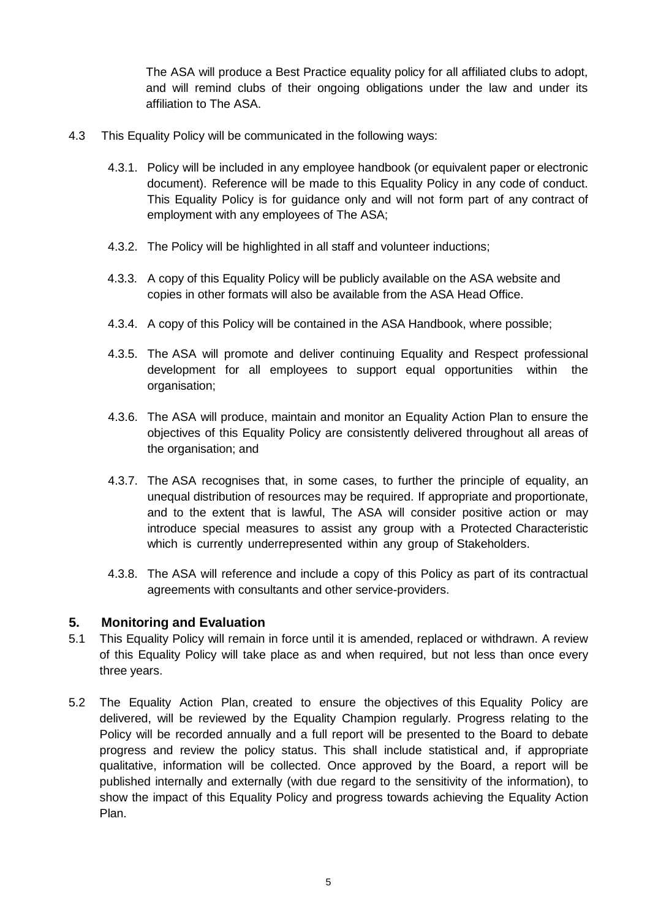The ASA will produce a Best Practice equality policy for all affiliated clubs to adopt, and will remind clubs of their ongoing obligations under the law and under its affiliation to The ASA.

- 4.3 This Equality Policy will be communicated in the following ways:
	- 4.3.1. Policy will be included in any employee handbook (or equivalent paper or electronic document). Reference will be made to this Equality Policy in any code of conduct. This Equality Policy is for guidance only and will not form part of any contract of employment with any employees of The ASA;
	- 4.3.2. The Policy will be highlighted in all staff and volunteer inductions;
	- 4.3.3. A copy of this Equality Policy will be publicly available on the ASA website and copies in other formats will also be available from the ASA Head Office.
	- 4.3.4. A copy of this Policy will be contained in the ASA Handbook, where possible;
	- 4.3.5. The ASA will promote and deliver continuing Equality and Respect professional development for all employees to support equal opportunities within the organisation;
	- 4.3.6. The ASA will produce, maintain and monitor an Equality Action Plan to ensure the objectives of this Equality Policy are consistently delivered throughout all areas of the organisation; and
	- 4.3.7. The ASA recognises that, in some cases, to further the principle of equality, an unequal distribution of resources may be required. If appropriate and proportionate, and to the extent that is lawful, The ASA will consider positive action or may introduce special measures to assist any group with a Protected Characteristic which is currently underrepresented within any group of Stakeholders.
	- 4.3.8. The ASA will reference and include a copy of this Policy as part of its contractual agreements with consultants and other service-providers.

## **5. Monitoring and Evaluation**

- 5.1 This Equality Policy will remain in force until it is amended, replaced or withdrawn. A review of this Equality Policy will take place as and when required, but not less than once every three years.
- 5.2 The Equality Action Plan, created to ensure the objectives of this Equality Policy are delivered, will be reviewed by the Equality Champion regularly. Progress relating to the Policy will be recorded annually and a full report will be presented to the Board to debate progress and review the policy status. This shall include statistical and, if appropriate qualitative, information will be collected. Once approved by the Board, a report will be published internally and externally (with due regard to the sensitivity of the information), to show the impact of this Equality Policy and progress towards achieving the Equality Action Plan.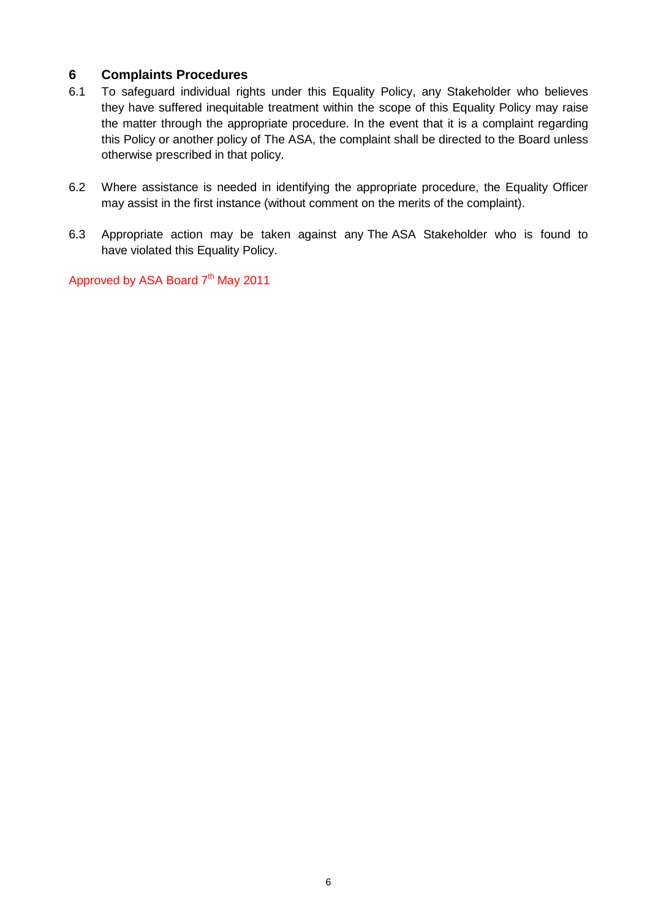## **6 Complaints Procedures**

- 6.1 To safeguard individual rights under this Equality Policy, any Stakeholder who believes they have suffered inequitable treatment within the scope of this Equality Policy may raise the matter through the appropriate procedure. In the event that it is a complaint regarding this Policy or another policy of The ASA, the complaint shall be directed to the Board unless otherwise prescribed in that policy.
- 6.2 Where assistance is needed in identifying the appropriate procedure, the Equality Officer may assist in the first instance (without comment on the merits of the complaint).
- 6.3 Appropriate action may be taken against any The ASA Stakeholder who is found to have violated this Equality Policy.

Approved by ASA Board 7<sup>th</sup> May 2011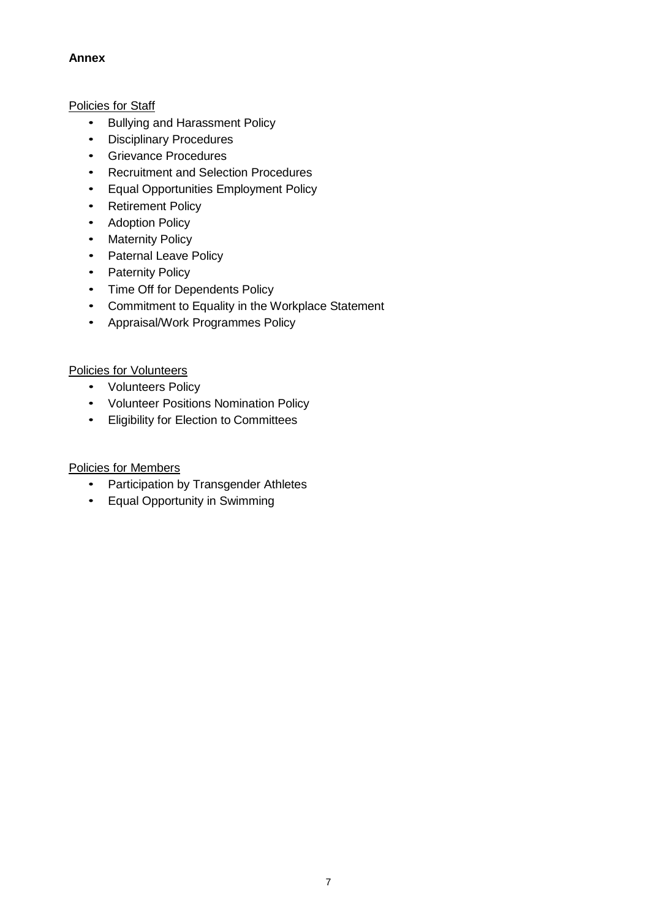### **Annex**

### Policies for Staff

- Bullying and Harassment Policy
- Disciplinary Procedures
- Grievance Procedures
- Recruitment and Selection Procedures
- Equal Opportunities Employment Policy
- Retirement Policy
- Adoption Policy
- Maternity Policy
- Paternal Leave Policy
- Paternity Policy
- Time Off for Dependents Policy
- Commitment to Equality in the Workplace Statement
- Appraisal/Work Programmes Policy

### Policies for Volunteers

- Volunteers Policy
- Volunteer Positions Nomination Policy
- Eligibility for Election to Committees

### Policies for Members

- Participation by Transgender Athletes
- Equal Opportunity in Swimming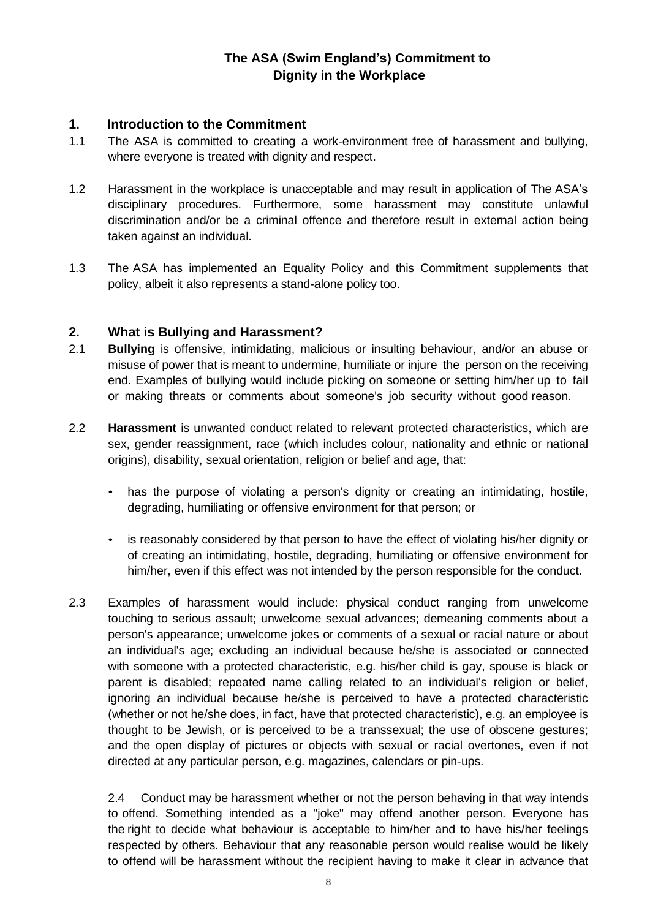# **The ASA (Swim England's) Commitment to Dignity in the Workplace**

## **1. Introduction to the Commitment**

- 1.1 The ASA is committed to creating a work-environment free of harassment and bullying, where everyone is treated with dignity and respect.
- 1.2 Harassment in the workplace is unacceptable and may result in application of The ASA's disciplinary procedures. Furthermore, some harassment may constitute unlawful discrimination and/or be a criminal offence and therefore result in external action being taken against an individual.
- 1.3 The ASA has implemented an Equality Policy and this Commitment supplements that policy, albeit it also represents a stand-alone policy too.

## **2. What is Bullying and Harassment?**

- 2.1 **Bullying** is offensive, intimidating, malicious or insulting behaviour, and/or an abuse or misuse of power that is meant to undermine, humiliate or injure the person on the receiving end. Examples of bullying would include picking on someone or setting him/her up to fail or making threats or comments about someone's job security without good reason.
- 2.2 **Harassment** is unwanted conduct related to relevant protected characteristics, which are sex, gender reassignment, race (which includes colour, nationality and ethnic or national origins), disability, sexual orientation, religion or belief and age, that:
	- has the purpose of violating a person's dignity or creating an intimidating, hostile, degrading, humiliating or offensive environment for that person; or
	- is reasonably considered by that person to have the effect of violating his/her dignity or of creating an intimidating, hostile, degrading, humiliating or offensive environment for him/her, even if this effect was not intended by the person responsible for the conduct.
- 2.3 Examples of harassment would include: physical conduct ranging from unwelcome touching to serious assault; unwelcome sexual advances; demeaning comments about a person's appearance; unwelcome jokes or comments of a sexual or racial nature or about an individual's age; excluding an individual because he/she is associated or connected with someone with a protected characteristic, e.g. his/her child is gay, spouse is black or parent is disabled; repeated name calling related to an individual's religion or belief, ignoring an individual because he/she is perceived to have a protected characteristic (whether or not he/she does, in fact, have that protected characteristic), e.g. an employee is thought to be Jewish, or is perceived to be a transsexual; the use of obscene gestures; and the open display of pictures or objects with sexual or racial overtones, even if not directed at any particular person, e.g. magazines, calendars or pin-ups.

2.4 Conduct may be harassment whether or not the person behaving in that way intends to offend. Something intended as a "joke" may offend another person. Everyone has the right to decide what behaviour is acceptable to him/her and to have his/her feelings respected by others. Behaviour that any reasonable person would realise would be likely to offend will be harassment without the recipient having to make it clear in advance that